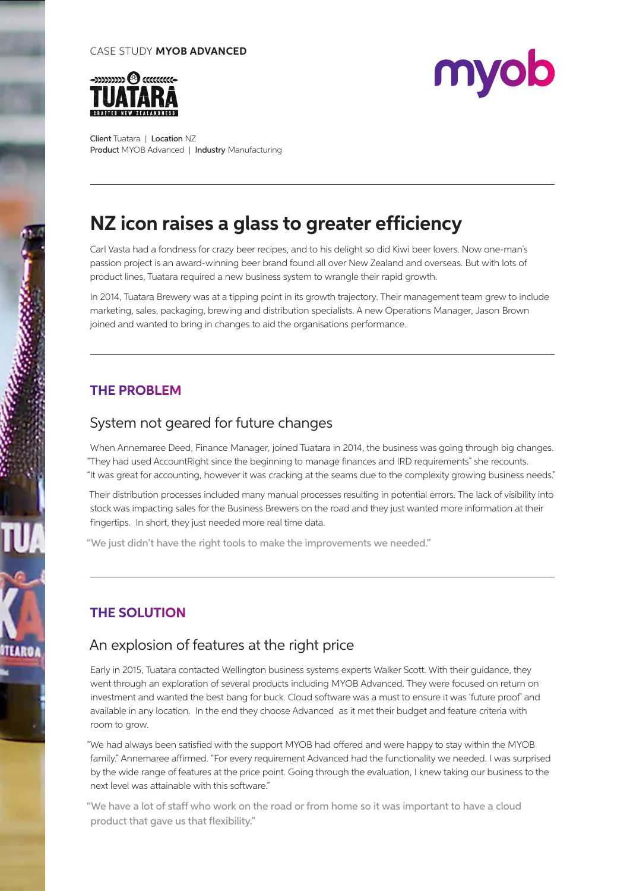#### CASE STUDY **MYOB ADVANCED**





Client Tuatara | Location NZ Product MYOB Advanced | Industry Manufacturing

# **NZ icon raises a glass to greater efficiency**

Carl Vasta had a fondness for crazy beer recipes, and to his delight so did Kiwi beer lovers. Now one-man's passion project is an award-winning beer brand found all over New Zealand and overseas. But with lots of product lines, Tuatara required a new business system to wrangle their rapid growth.

In 2014, Tuatara Brewery was at a tipping point in its growth trajectory. Their management team grew to include marketing, sales, packaging, brewing and distribution specialists. A new Operations Manager, Jason Brown joined and wanted to bring in changes to aid the organisations performance.

## **THE PROBLEM**

*<u><b>REGIONAL</u>* 

#### System not geared for future changes

When Annemaree Deed, Finance Manager, joined Tuatara in 2014, the business was going through big changes. "They had used AccountRight since the beginning to manage finances and IRD requirements" she recounts. "It was great for accounting, however it was cracking at the seams due to the complexity growing business needs."

Their distribution processes included many manual processes resulting in potential errors. The lack of visibility into stock was impacting sales for the Business Brewers on the road and they just wanted more information at their fingertips. In short, they just needed more real time data.

"We just didn't have the right tools to make the improvements we needed."

## **THE SOLUTION**

## An explosion of features at the right price

Early in 2015, Tuatara contacted Wellington business systems experts Walker Scott. With their guidance, they went through an exploration of several products including MYOB Advanced. They were focused on return on investment and wanted the best bang for buck. Cloud software was a must to ensure it was 'future proof' and available in any location. In the end they choose Advanced as it met their budget and feature criteria with room to grow.

"We had always been satisfied with the support MYOB had offered and were happy to stay within the MYOB family." Annemaree affirmed. "For every requirement Advanced had the functionality we needed. I was surprised by the wide range of features at the price point. Going through the evaluation, I knew taking our business to the next level was attainable with this software."

"We have a lot of staff who work on the road or from home so it was important to have a cloud product that gave us that flexibility."